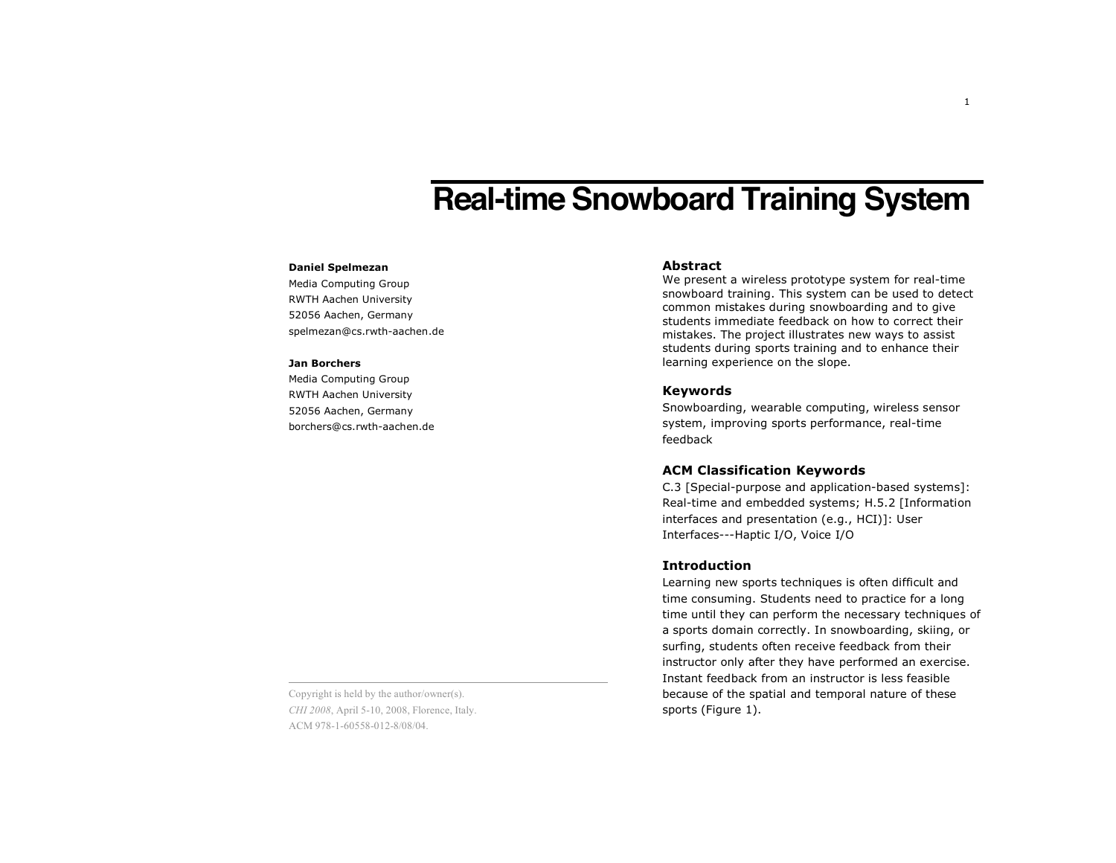# **Real-time Snowboard Training System**

## **Daniel Spelmezan**

Media Computing Group RWTH Aachen University 52056 Aachen, Germany spelmezan@cs.rwth-aachen.de

#### **Jan Borchers**

Media Computing Group RWTH Aachen University 52056 Aachen, Germany borchers@cs.rwth-aachen.de

# **Abstract**

We present a wireless prototype system for real-time snowboard training. This system can be used to detect common mistakes during snowboarding and to give students immediate feedback on how to correct their mistakes. The project illustrates new ways to assist students during sports training and to enhance their learning experience on the slope.

# **Keywords**

Snowboarding, wearable computing, wireless sensor system, improving sports performance, real-time feedback

## **ACM Classification Keywords**

C.3 [Special-purpose and application-based systems]: Real-time and embedded systems; H.5.2 [Information interfaces and presentation (e.g., HCI)]: User Interfaces---Haptic I/O, Voice I/O

## **Introduction**

Learning new sports techniques is often difficult and time consuming. Students need to practice for a long time until they can perform the necessary techniques of a sports domain correctly. In snowboarding, skiing, or surfing, students often receive feedback from their instructor only after they have performed an exercise. Instant feedback from an instructor is less feasible because of the spatial and temporal nature of these sports (Figure 1).

Copyright is held by the author/owner(s). *CHI 2008*, April 5-10, 2008, Florence, Italy. ACM 978-1-60558-012-8/08/04.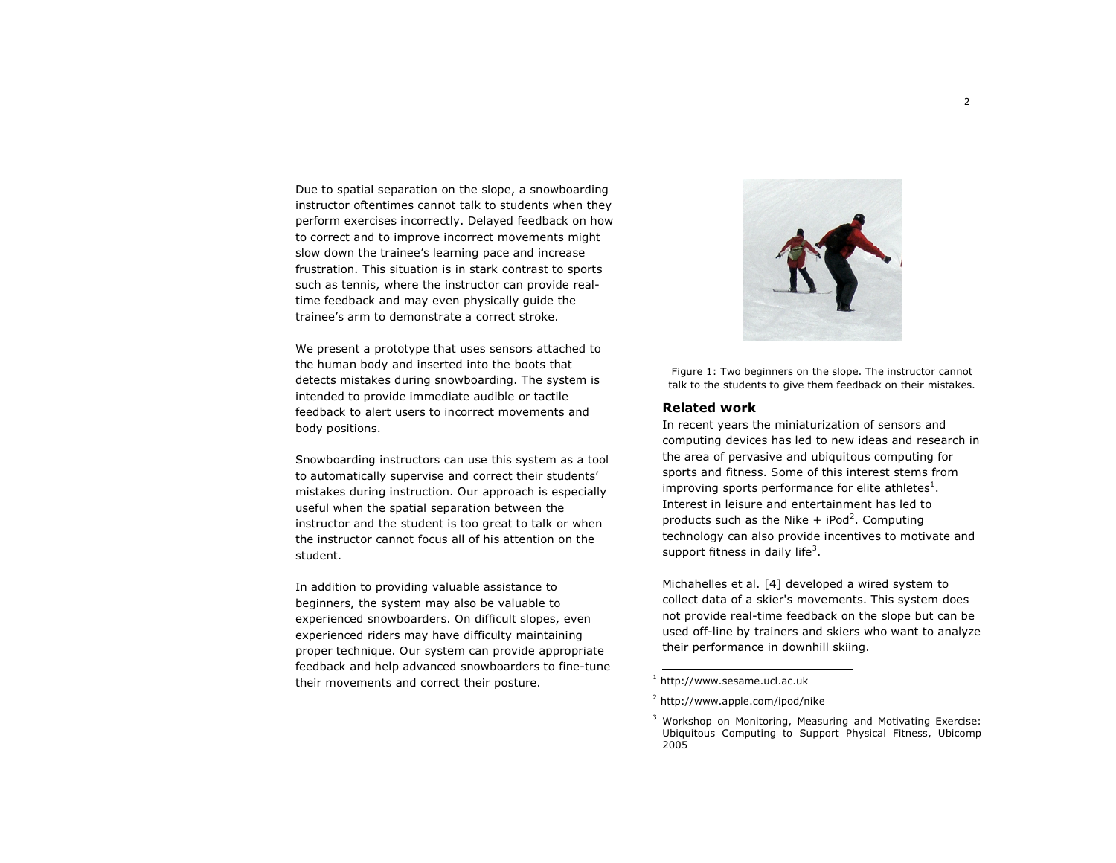Due to spatial separation on the slope, a snowboarding instructor oftentimes cannot talk to students when they perform exercises incorrectly. Delayed feedback on how to correct and to improve incorrect movements might slow down the trainee's learning pace and increase frustration. This situation is in stark contrast to sports such as tennis, where the instructor can provide realtime feedback and may even physically guide the trainee's arm to demonstrate a correct stroke.

We present a prototype that uses sensors attached to the human body and inserted into the boots that detects mistakes during snowboarding. The system is intended to provide immediate audible or tactile feedback to alert users to incorrect movements and body positions.

Snowboarding instructors can use this system as a tool to automatically supervise and correct their students' mistakes during instruction. Our approach is especially useful when the spatial separation between the instructor and the student is too great to talk or when the instructor cannot focus all of his attention on the student.

In addition to providing valuable assistance to beginners, the system may also be valuable to experienced snowboarders. On difficult slopes, even experienced riders may have difficulty maintaining proper technique. Our system can provide appropriate feedback and help advanced snowboarders to fine-tune their movements and correct their posture.



Figure 1: Two beginners on the slope. The instructor cannot talk to the students to give them feedback on their mistakes.

#### **Related work**

In recent years the miniaturization of sensors and computing devices has led to new ideas and research in the area of pervasive and ubiquitous computing for sports and fitness. Some of this interest stems from improving sports performance for elite athletes $^{\rm 1}.$ Interest in leisure and entertainment has led to products such as the Nike  $+$  iPod<sup>2</sup>. Computing technology can also provide incentives to motivate and support fitness in daily life<sup>3</sup>.

Michahelles et al. [4] developed a wired system to collect data of a skier's movements. This system does not provide real-time feedback on the slope but can be used off-line by trainers and skiers who want to analyze their performance in downhill skiing.

<sup>1</sup> http://www.sesame.ucl.ac.uk

<sup>2</sup> http://www.apple.com/ipod/nike

<sup>&</sup>lt;sup>3</sup> Workshop on Monitoring, Measuring and Motivating Exercise: Ubiquitous Computing to Support Physical Fitness, Ubicomp 2005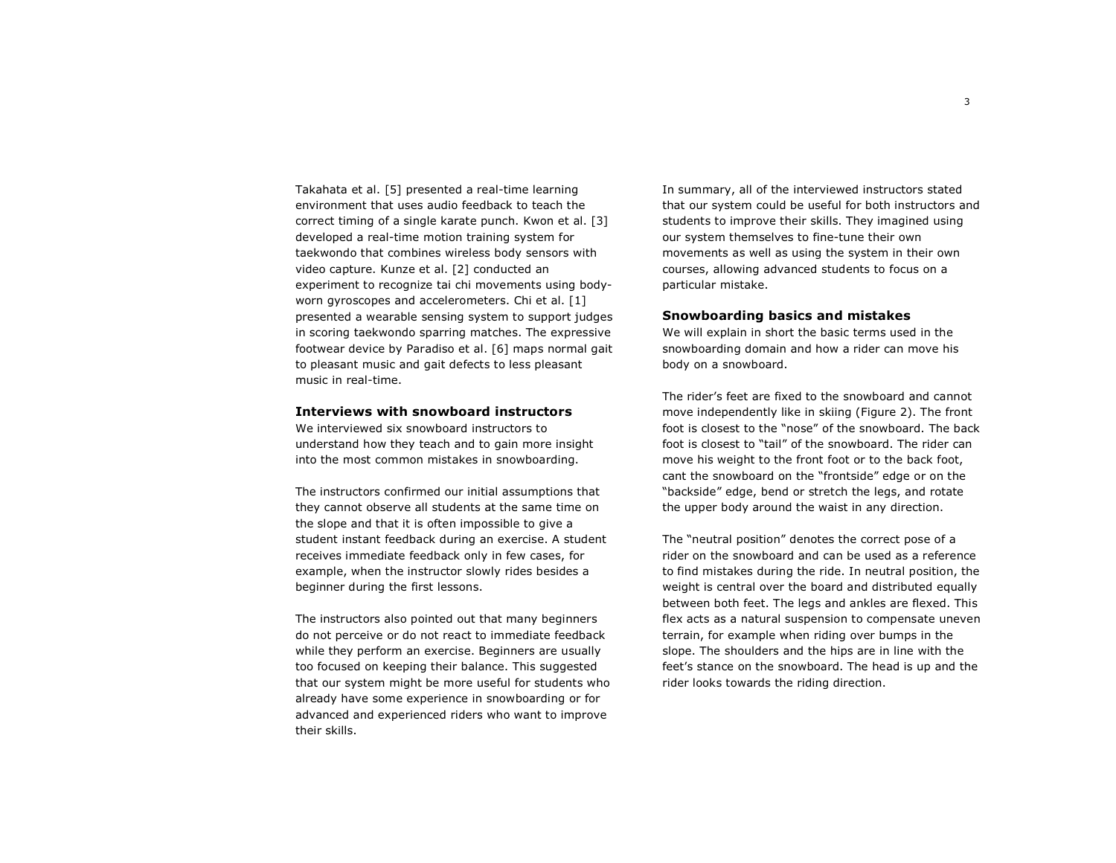Takahata et al. [5] presented a real-time learning environment that uses audio feedback to teach the correct timing of a single karate punch. Kwon et al. [3] developed a real-time motion training system for taekwondo that combines wireless body sensors with video capture. Kunze et al. [2] conducted an experiment to recognize tai chi movements using bodyworn gyroscopes and accelerometers. Chi et al. [1] presented a wearable sensing system to support judges in scoring taekwondo sparring matches. The expressive footwear device by Paradiso et al. [6] maps normal gait to pleasant music and gait defects to less pleasant music in real-time.

# **Interviews with snowboard instructors**

We interviewed six snowboard instructors to understand how they teach and to gain more insight into the most common mistakes in snowboarding.

The instructors confirmed our initial assumptions that they cannot observe all students at the same time on the slope and that it is often impossible to give a student instant feedback during an exercise. A student receives immediate feedback only in few cases, for example, when the instructor slowly rides besides a beginner during the first lessons.

The instructors also pointed out that many beginners do not perceive or do not react to immediate feedback while they perform an exercise. Beginners are usually too focused on keeping their balance. This suggested that our system might be more useful for students who already have some experience in snowboarding or for advanced and experienced riders who want to improve their skills.

In summary, all of the interviewed instructors stated that our system could be useful for both instructors and students to improve their skills. They imagined using our system themselves to fine-tune their own movements as well as using the system in their own courses, allowing advanced students to focus on a particular mistake.

## **Snowboarding basics and mistakes**

We will explain in short the basic terms used in the snowboarding domain and how a rider can move his body on a snowboard.

The rider's feet are fixed to the snowboard and cannot move independently like in skiing (Figure 2). The front foot is closest to the "nose" of the snowboard. The back foot is closest to "tail" of the snowboard. The rider can move his weight to the front foot or to the back foot, cant the snowboard on the "frontside" edge or on the "backside" edge, bend or stretch the legs, and rotate the upper body around the waist in any direction.

The "neutral position" denotes the correct pose of a rider on the snowboard and can be used as a reference to find mistakes during the ride. In neutral position, the weight is central over the board and distributed equally between both feet. The legs and ankles are flexed. This flex acts as a natural suspension to compensate uneven terrain, for example when riding over bumps in the slope. The shoulders and the hips are in line with the feet's stance on the snowboard. The head is up and the rider looks towards the riding direction.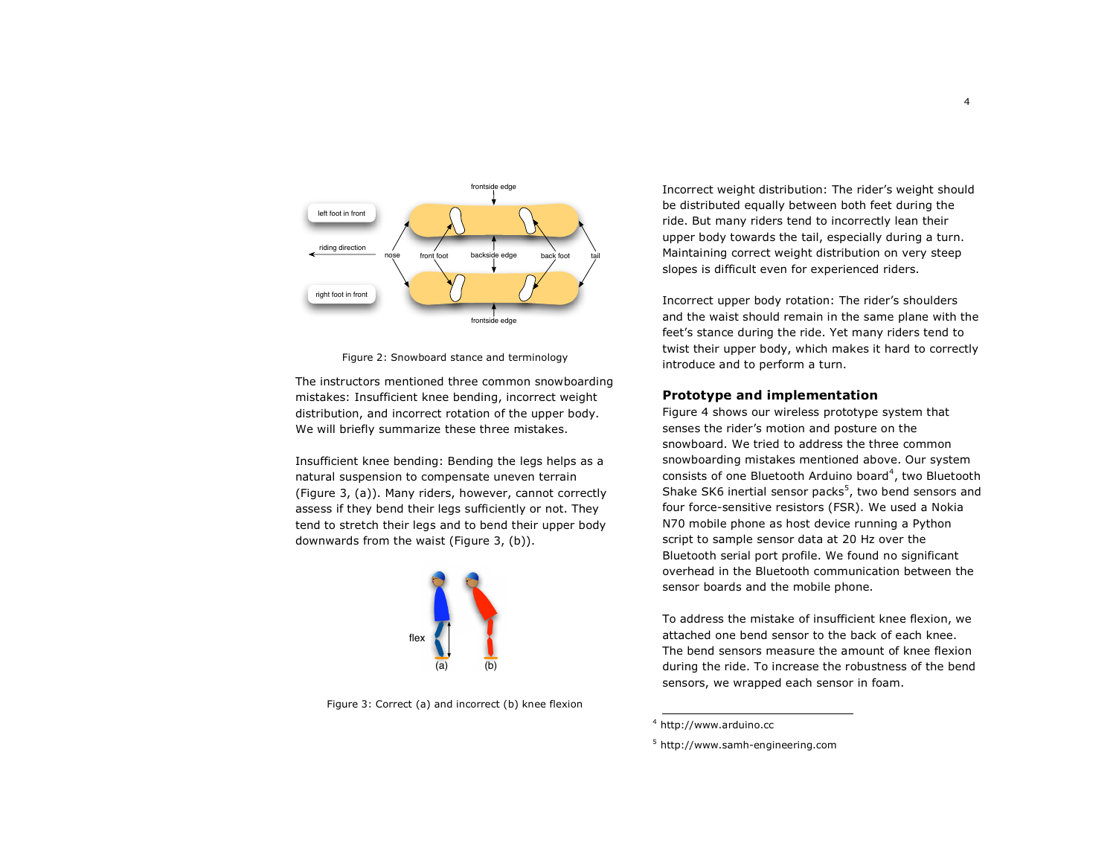

Figure 2: Snowboard stance and terminology

The instructors mentioned three common snowboarding mistakes: Insufficient knee bending, incorrect weight distribution, and incorrect rotation of the upper body. We will briefly summarize these three mistakes.

Insufficient knee bending: Bending the legs helps as a natural suspension to compensate uneven terrain (Figure 3, (a)). Many riders, however, cannot correctly assess if they bend their legs sufficiently or not. They tend to stretch their legs and to bend their upper body downwards from the waist (Figure 3, (b)).



Figure 3: Correct (a) and incorrect (b) knee flexion

Incorrect weight distribution: The rider's weight should be distributed equally between both feet during the ride. But many riders tend to incorrectly lean their upper body towards the tail, especially during a turn. Maintaining correct weight distribution on very steep slopes is difficult even for experienced riders.

Incorrect upper body rotation: The rider's shoulders and the waist should remain in the same plane with the feet's stance during the ride. Yet many riders tend to twist their upper body, which makes it hard to correctly introduce and to perform a turn.

# **Prototype and implementation**

Figure 4 shows our wireless prototype system that senses the rider's motion and posture on the snowboard. We tried to address the three common snowboarding mistakes mentioned above. Our system consists of one Bluetooth Arduino board<sup>4</sup>, two Bluetooth Shake SK6 inertial sensor packs $<sup>5</sup>$ , two bend sensors and</sup> four force-sensitive resistors (FSR). We used a Nokia N70 mobile phone as host device running a Python script to sample sensor data at 20 Hz over the Bluetooth serial port profile. We found no significant overhead in the Bluetooth communication between the sensor boards and the mobile phone.

To address the mistake of insufficient knee flexion, we attached one bend sensor to the back of each knee. The bend sensors measure the amount of knee flexion during the ride. To increase the robustness of the bend sensors, we wrapped each sensor in foam.

 $^4$  http://www.arduino.cc

<sup>5</sup> http://www.samh-engineering.com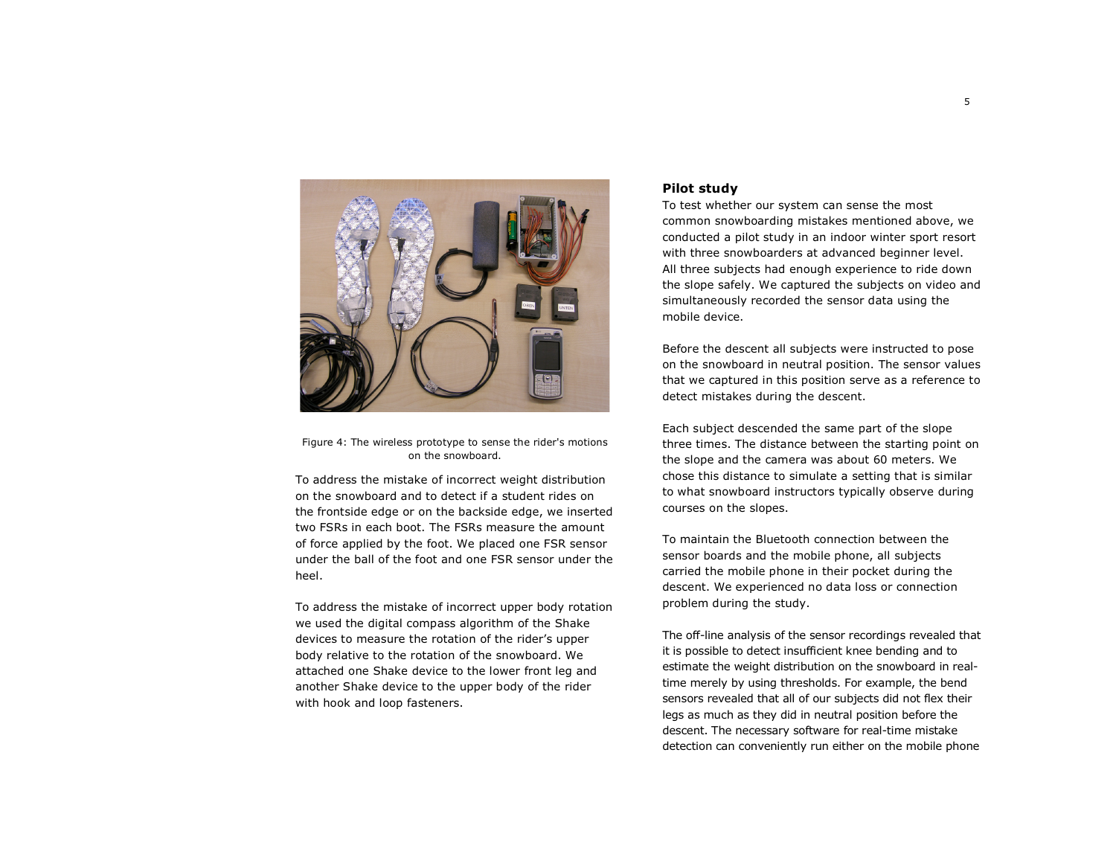

Figure 4: The wireless prototype to sense the rider's motions on the snowboard.

To address the mistake of incorrect weight distribution on the snowboard and to detect if a student rides on the frontside edge or on the backside edge, we inserted two FSRs in each boot. The FSRs measure the amount of force applied by the foot. We placed one FSR sensor under the ball of the foot and one FSR sensor under the heel.

To address the mistake of incorrect upper body rotation we used the digital compass algorithm of the Shake devices to measure the rotation of the rider's upper body relative to the rotation of the snowboard. We attached one Shake device to the lower front leg and another Shake device to the upper body of the rider with hook and loop fasteners.

# **Pilot study**

To test whether our system can sense the most common snowboarding mistakes mentioned above, we conducted a pilot study in an indoor winter sport resort with three snowboarders at advanced beginner level. All three subjects had enough experience to ride down the slope safely. We captured the subjects on video and simultaneously recorded the sensor data using the mobile device.

Before the descent all subjects were instructed to pose on the snowboard in neutral position. The sensor values that we captured in this position serve as a reference to detect mistakes during the descent.

Each subject descended the same part of the slope three times. The distance between the starting point on the slope and the camera was about 60 meters. We chose this distance to simulate a setting that is similar to what snowboard instructors typically observe during courses on the slopes.

To maintain the Bluetooth connection between the sensor boards and the mobile phone, all subjects carried the mobile phone in their pocket during the descent. We experienced no data loss or connection problem during the study.

The off-line analysis of the sensor recordings revealed that it is possible to detect insufficient knee bending and to estimate the weight distribution on the snowboard in realtime merely by using thresholds. For example, the bend sensors revealed that all of our subjects did not flex their legs as much as they did in neutral position before the descent. The necessary software for real-time mistake detection can conveniently run either on the mobile phone